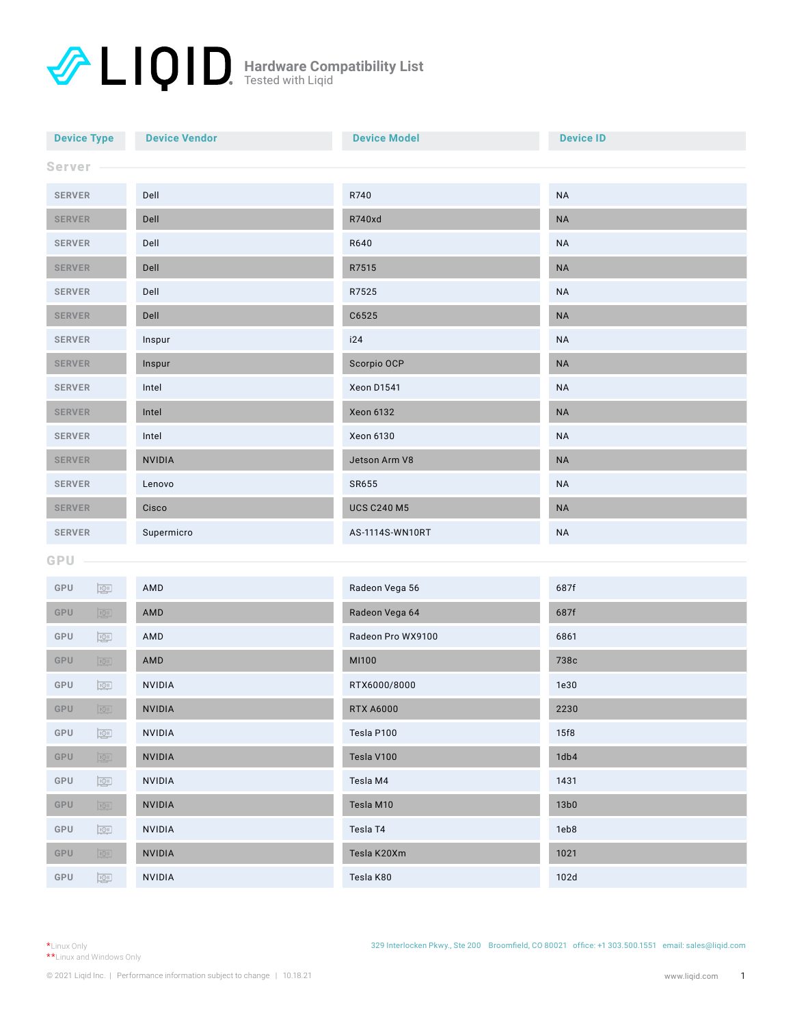| <b>Device Type</b><br><b>Device Vendor</b>                |               | <b>Device Model</b> | <b>Device ID</b> |  |
|-----------------------------------------------------------|---------------|---------------------|------------------|--|
| Server                                                    |               |                     |                  |  |
| <b>SERVER</b><br>Dell                                     |               | R740                | <b>NA</b>        |  |
| <b>SERVER</b><br>Dell                                     |               | R740xd              | <b>NA</b>        |  |
| Dell<br><b>SERVER</b>                                     |               | R640                | <b>NA</b>        |  |
| <b>SERVER</b>                                             | Dell          | R7515               | <b>NA</b>        |  |
| <b>SERVER</b>                                             | Dell          | R7525               | <b>NA</b>        |  |
| <b>SERVER</b><br>Dell                                     |               | C6525               | $\sf NA$         |  |
| <b>SERVER</b><br>Inspur                                   |               | i24                 | <b>NA</b>        |  |
| <b>SERVER</b>                                             | Inspur        | Scorpio OCP         | $\sf NA$         |  |
| <b>SERVER</b>                                             | Intel         | Xeon D1541          | <b>NA</b>        |  |
| <b>SERVER</b>                                             | Intel         | <b>Xeon 6132</b>    | <b>NA</b>        |  |
| <b>SERVER</b>                                             | Intel         | Xeon 6130           | <b>NA</b>        |  |
| <b>SERVER</b>                                             | <b>NVIDIA</b> | Jetson Arm V8       | $\sf NA$         |  |
| <b>SERVER</b>                                             | Lenovo        | SR655               | <b>NA</b>        |  |
| <b>SERVER</b>                                             | Cisco         | <b>UCS C240 M5</b>  | <b>NA</b>        |  |
| Supermicro<br><b>SERVER</b>                               |               | AS-1114S-WN10RT     | <b>NA</b>        |  |
| GPU                                                       |               |                     |                  |  |
| GPU<br>$\overline{\mathbb{Q}}$                            | AMD           | Radeon Vega 56      | 687f             |  |
| GPU<br>$\boxed{1 \oplus 1}$                               | AMD           | Radeon Vega 64      | 687f             |  |
| GPU<br>$\boxed{\underline{\text{IQII}}}$                  | AMD           | Radeon Pro WX9100   | 6861             |  |
| GPU<br>$\boxed{1 \odot 1}$                                | AMD           | MI100               | 738c             |  |
| GPU<br>$\overline{101}$                                   | NVIDIA        | RTX6000/8000        | 1e30             |  |
| GPU<br>$\boxed{\underline{1 \odot 1}}$                    | NVIDIA        | <b>RTX A6000</b>    | 2230             |  |
| GPU<br><b>NVIDIA</b><br>$\boxed{\underline{\text{IQII}}}$ |               | Tesla P100          | 15f8             |  |
| $\boxed{\underline{\text{IQ1}}}$<br>GPU                   | NVIDIA        | Tesla V100          | 1db4             |  |
| GPU<br>$\boxed{\underline{\text{IQII}}}$                  | NVIDIA        | Tesla M4            | 1431             |  |
| GPU<br>$\boxed{1 \textcircled{1}}$                        | NVIDIA        | Tesla M10           | 13b0             |  |
| GPU<br>$\boxed{\underline{\text{IQII}}}$                  | NVIDIA        | Tesla T4            | 1eb8             |  |
| GPU<br>$\boxed{1 \textcircled{1}}$                        | NVIDIA        | Tesla K20Xm         | 1021             |  |
| GPU<br>$\boxed{\underline{\text{IQII}}}$<br>NVIDIA        |               | Tesla K80           | 102d             |  |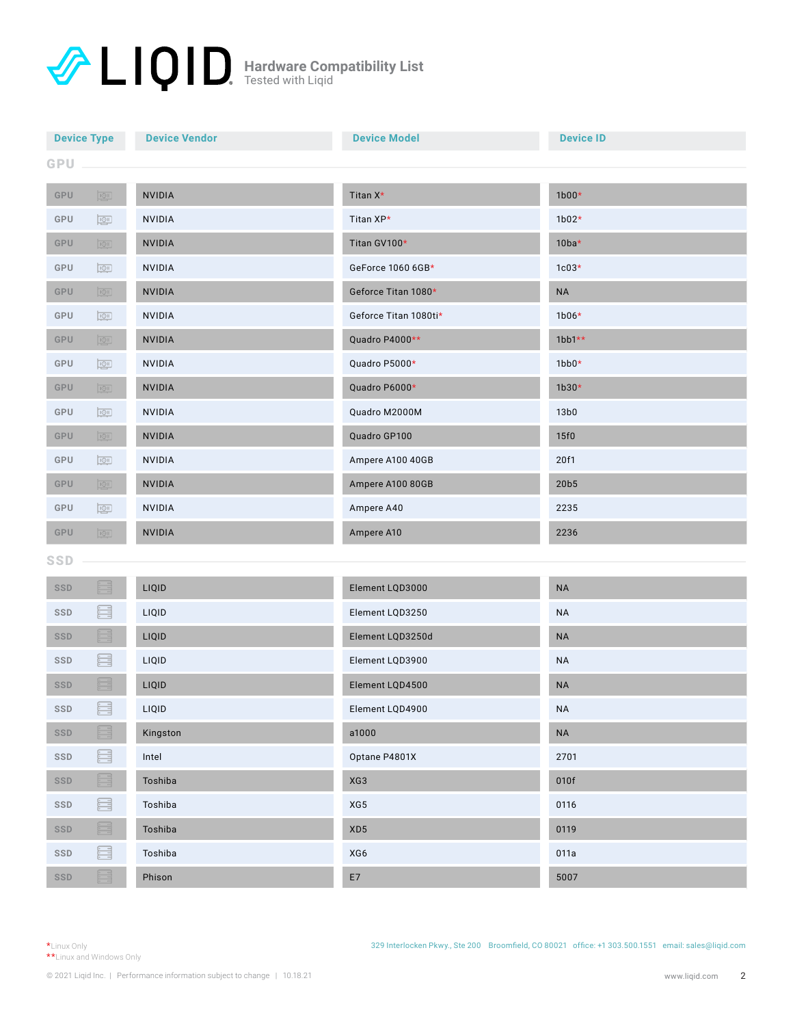| <b>Device Vendor</b><br><b>Device Type</b> |                                                                                                                                                                                                       |               | <b>Device Model</b>   | <b>Device ID</b> |  |
|--------------------------------------------|-------------------------------------------------------------------------------------------------------------------------------------------------------------------------------------------------------|---------------|-----------------------|------------------|--|
| GPU                                        |                                                                                                                                                                                                       |               |                       |                  |  |
| GPU                                        | $\boxed{1 \oplus 1}$                                                                                                                                                                                  | <b>NVIDIA</b> | Titan X*              | $1b00*$          |  |
| GPU                                        | $\overline{\mathbb{P}}$                                                                                                                                                                               | <b>NVIDIA</b> | Titan XP*             | $1b02*$          |  |
| GPU                                        | $\boxed{1 \oplus 1}$                                                                                                                                                                                  | <b>NVIDIA</b> | Titan GV100*          | $10ba*$          |  |
| GPU                                        | $\overline{\mathbb{Q}}$                                                                                                                                                                               | <b>NVIDIA</b> | GeForce 1060 6GB*     | $1c03*$          |  |
| GPU                                        | $\sqrt{1QT}$                                                                                                                                                                                          | <b>NVIDIA</b> | Geforce Titan 1080*   | <b>NA</b>        |  |
| GPU                                        | $\boxed{\underline{\text{IQII}}}$                                                                                                                                                                     | NVIDIA        | Geforce Titan 1080ti* | $1b06*$          |  |
| GPU                                        | $\boxed{1 \odot 1}$                                                                                                                                                                                   | NVIDIA        | Quadro P4000**        | $1bb1**$         |  |
| GPU                                        | $\boxed{\underline{\text{IQII}}}$                                                                                                                                                                     | NVIDIA        | Quadro P5000*         | $1bb0*$          |  |
| GPU                                        | $\boxed{1 \textcircled{91}}$<br>NVIDIA                                                                                                                                                                |               | Quadro P6000*         | $1b30*$          |  |
| GPU                                        | $\boxed{\underline{\text{IQII}}}$                                                                                                                                                                     | NVIDIA        | Quadro M2000M         | 13 <sub>b0</sub> |  |
| GPU                                        | $\boxed{1 \oplus 1}$<br>NVIDIA                                                                                                                                                                        |               | Quadro GP100          | 15f0             |  |
| GPU                                        | $\boxed{\underline{\text{IQII}}}$<br><b>NVIDIA</b>                                                                                                                                                    |               | Ampere A100 40GB      | 20f1             |  |
| GPU                                        | $\boxed{1 \oplus 1}$                                                                                                                                                                                  | NVIDIA        | Ampere A100 80GB      | 20b5             |  |
| GPU                                        | $\overline{\mathbb{Q}}$                                                                                                                                                                               | <b>NVIDIA</b> | Ampere A40            | 2235             |  |
| <b>GPU</b>                                 | $\sqrt{1Q_1}$                                                                                                                                                                                         | NVIDIA        | Ampere A10            | 2236             |  |
| <b>SSD</b>                                 |                                                                                                                                                                                                       |               |                       |                  |  |
| SSD                                        | Fre                                                                                                                                                                                                   | LIQID         | Element LQD3000       | $\sf NA$         |  |
| <b>SSD</b>                                 | 8<br>LIQID                                                                                                                                                                                            |               | Element LQD3250       | <b>NA</b>        |  |
| SSD                                        | Ë                                                                                                                                                                                                     | LIQID         | Element LQD3250d      | <b>NA</b>        |  |
| SSD                                        | 8                                                                                                                                                                                                     | LIQID         | Element LQD3900       | <b>NA</b>        |  |
| <b>SSD</b>                                 |                                                                                                                                                                                                       | LIQID         | Element LQD4500       | <b>NA</b>        |  |
| SSD                                        | $\boxdot$                                                                                                                                                                                             | LIQID         | Element LQD4900       | <b>NA</b>        |  |
| SSD                                        | $\begin{tabular}{ c c c } \hline \quad \quad & \quad \quad & \quad \quad \\ \hline \quad \quad & \quad \quad & \quad \quad \\ \hline \quad \quad & \quad \quad & \quad \quad \\ \hline \end{tabular}$ | Kingston      | a1000                 | $\sf NA$         |  |
| $\texttt{SSD}$                             | E                                                                                                                                                                                                     | Intel         | Optane P4801X         | 2701             |  |
| $\texttt{SSD}$                             | S                                                                                                                                                                                                     | Toshiba       | XG3                   | 010f             |  |
| SSD                                        | e                                                                                                                                                                                                     | Toshiba       | XG5                   | 0116             |  |
| SSD                                        | E                                                                                                                                                                                                     | Toshiba       | XD5                   | 0119             |  |
| SSD                                        | e                                                                                                                                                                                                     | Toshiba       | XG6                   | 011a             |  |
| SSD                                        | S                                                                                                                                                                                                     | Phison        | $\mathsf{E}7$         | 5007             |  |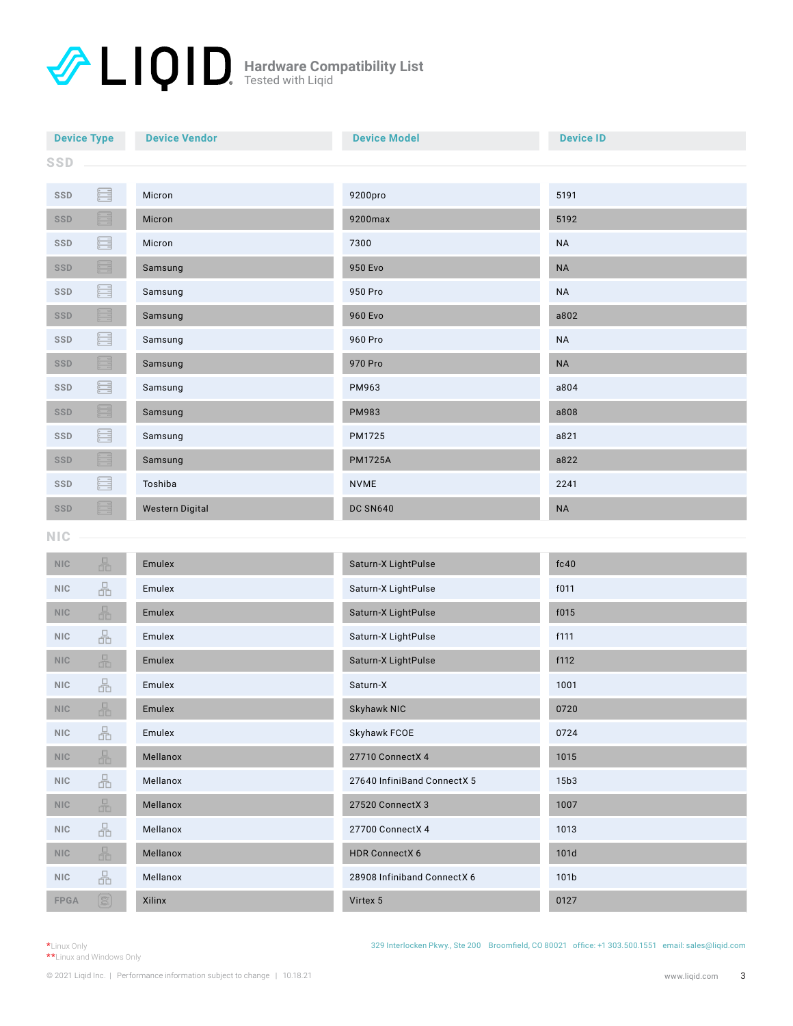| <b>Device Vendor</b><br><b>Device Type</b> |               |         | <b>Device Model</b> | <b>Device ID</b> |  |
|--------------------------------------------|---------------|---------|---------------------|------------------|--|
| <b>SSD</b>                                 |               |         |                     |                  |  |
| SSD                                        | E             | Micron  | 9200pro             | 5191             |  |
| <b>SSD</b>                                 | <u>: E</u>    | Micron  | 9200max             | 5192             |  |
| <b>SSD</b>                                 | e             | Micron  | 7300                | <b>NA</b>        |  |
| SSD                                        | E             | Samsung | 950 Evo             | $\sf NA$         |  |
| <b>SSD</b>                                 | 8             | Samsung | 950 Pro             | <b>NA</b>        |  |
| <b>SSD</b>                                 | i E           | Samsung | 960 Evo             | a802             |  |
| <b>SSD</b>                                 | æ             | Samsung | 960 Pro             | <b>NA</b>        |  |
| SSD                                        | E<br>Samsung  |         | 970 Pro             | $\sf NA$         |  |
| SSD                                        | s<br>Samsung  |         | PM963               | a804             |  |
| <b>SSD</b>                                 | Ġ<br>Samsung  |         | PM983               | a808             |  |
| SSD                                        | æ<br>Samsung  |         | PM1725              | a821             |  |
| SSD                                        | S             | Samsung | <b>PM1725A</b>      | a822             |  |
| SSD                                        | 르             | Toshiba | <b>NVME</b>         | 2241             |  |
| E<br><b>Western Digital</b><br><b>SSD</b>  |               |         | <b>DC SN640</b>     | <b>NA</b>        |  |
| <b>NIC</b>                                 |               |         |                     |                  |  |
| <b>NIC</b>                                 | 品             | Emulex  | Saturn-X LightPulse | fc40             |  |
| NIC                                        | 몲             | Emulex  | Saturn-X LightPulse | f011             |  |
| NIC                                        | 品             | Emulex  | Saturn-X LightPulse | f015             |  |
| NIC                                        | 몲             | Emulex  | Saturn-X LightPulse | f111             |  |
| <b>NIC</b>                                 | 品             | Emulex  | Saturn-X LightPulse | f112             |  |
| NIC                                        | 品             | Emulex  | Saturn-X            | 1001             |  |
| NIC                                        | 品             | Emulex  | Skyhawk NIC         | 0720             |  |
| NIC                                        | 몲             | Emulex  | Skyhawk FCOE        | 0724             |  |
| <b>NIC</b>                                 | 品<br>Mellanox |         | 27710 ConnectX 4    | 1015             |  |
|                                            |               |         |                     |                  |  |

| NIC         | 5 | Mellanox | 27710 ConnectX 4            | 1015             |
|-------------|---|----------|-----------------------------|------------------|
| NIC.        | 볾 | Mellanox | 27640 InfiniBand ConnectX 5 | 15 <sub>b3</sub> |
| NIC         | 品 | Mellanox | 27520 Connect X 3           | 1007             |
| NIC.        | 品 | Mellanox | 27700 ConnectX 4            | 1013             |
| NIC         | 品 | Mellanox | <b>HDR ConnectX 6</b>       | 101d             |
| NIC.        | ă | Mellanox | 28908 Infiniband ConnectX 6 | 101 <sub>b</sub> |
| <b>FPGA</b> |   | Xilinx   | Virtex 5                    | 0127             |

\*Linux Only \*\*Linux and Windows Only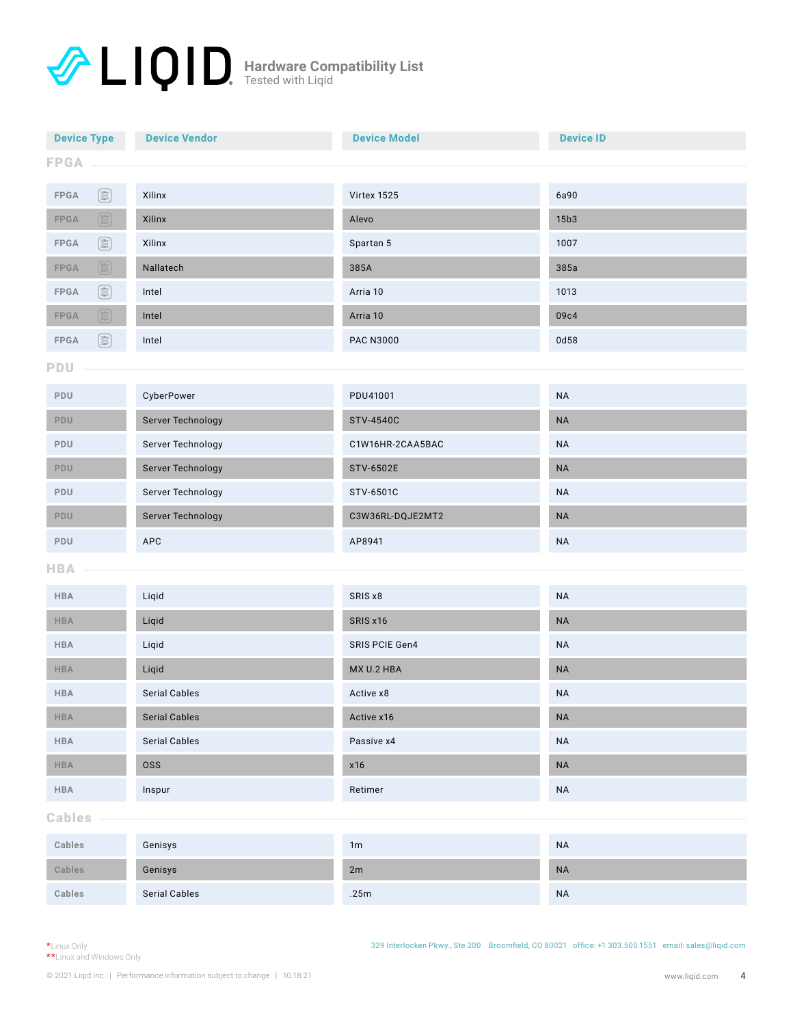| <b>Device Vendor</b><br><b>Device Type</b>                                                                                                                                                                                                                                                                                                                                                   |                      | <b>Device Model</b> | <b>Device ID</b> |  |  |
|----------------------------------------------------------------------------------------------------------------------------------------------------------------------------------------------------------------------------------------------------------------------------------------------------------------------------------------------------------------------------------------------|----------------------|---------------------|------------------|--|--|
| <b>FPGA</b>                                                                                                                                                                                                                                                                                                                                                                                  |                      |                     |                  |  |  |
| $\circledS$<br>FPGA                                                                                                                                                                                                                                                                                                                                                                          | Xilinx               | Virtex 1525         | 6a90             |  |  |
| $\circledB$<br>${\sf FPGA}$                                                                                                                                                                                                                                                                                                                                                                  | Xilinx               | Alevo               | 15b3             |  |  |
| 图<br>FPGA                                                                                                                                                                                                                                                                                                                                                                                    | Xilinx               | Spartan 5           | 1007             |  |  |
| $\begin{picture}(40,40) \put(0,0){\line(1,0){10}} \put(15,0){\line(1,0){10}} \put(15,0){\line(1,0){10}} \put(15,0){\line(1,0){10}} \put(15,0){\line(1,0){10}} \put(15,0){\line(1,0){10}} \put(15,0){\line(1,0){10}} \put(15,0){\line(1,0){10}} \put(15,0){\line(1,0){10}} \put(15,0){\line(1,0){10}} \put(15,0){\line(1,0){10}} \put(15,0){\line(1$<br>${\sf FPGA}$<br>Nallatech             |                      | 385A                | 385a             |  |  |
| 图<br>FPGA<br>Intel                                                                                                                                                                                                                                                                                                                                                                           |                      | Arria 10            | 1013             |  |  |
| $\begin{picture}(40,40) \put(0,0){\line(1,0){10}} \put(15,0){\line(1,0){10}} \put(15,0){\line(1,0){10}} \put(15,0){\line(1,0){10}} \put(15,0){\line(1,0){10}} \put(15,0){\line(1,0){10}} \put(15,0){\line(1,0){10}} \put(15,0){\line(1,0){10}} \put(15,0){\line(1,0){10}} \put(15,0){\line(1,0){10}} \put(15,0){\line(1,0){10}} \put(15,0){\line(1$<br>$\ensuremath{\mathsf{FPGA}}$<br>Intel |                      | Arria 10            | 09c4             |  |  |
| 国<br>${\sf FPGA}$<br>Intel                                                                                                                                                                                                                                                                                                                                                                   |                      | <b>PAC N3000</b>    | 0d58             |  |  |
| PDU                                                                                                                                                                                                                                                                                                                                                                                          |                      |                     |                  |  |  |
|                                                                                                                                                                                                                                                                                                                                                                                              |                      | PDU41001            |                  |  |  |
| PDU                                                                                                                                                                                                                                                                                                                                                                                          | CyberPower           |                     | $\sf NA$         |  |  |
| PDU                                                                                                                                                                                                                                                                                                                                                                                          | Server Technology    | <b>STV-4540C</b>    | $\sf NA$         |  |  |
| Server Technology<br>PDU                                                                                                                                                                                                                                                                                                                                                                     |                      | C1W16HR-2CAA5BAC    | $\sf NA$         |  |  |
| Server Technology<br>PDU                                                                                                                                                                                                                                                                                                                                                                     |                      | STV-6502E           | $\sf NA$         |  |  |
| <b>PDU</b>                                                                                                                                                                                                                                                                                                                                                                                   | Server Technology    | STV-6501C           | <b>NA</b>        |  |  |
| Server Technology<br>PDU                                                                                                                                                                                                                                                                                                                                                                     |                      | C3W36RL-DQJE2MT2    | $\sf NA$         |  |  |
| APC<br>PDU                                                                                                                                                                                                                                                                                                                                                                                   |                      | AP8941              | <b>NA</b>        |  |  |
| <b>HBA</b>                                                                                                                                                                                                                                                                                                                                                                                   |                      |                     |                  |  |  |
| <b>HBA</b>                                                                                                                                                                                                                                                                                                                                                                                   | Liqid                | SRIS x8             | $\sf NA$         |  |  |
| <b>HBA</b>                                                                                                                                                                                                                                                                                                                                                                                   | Liqid                | SRIS x16            | $\sf NA$         |  |  |
| <b>HBA</b>                                                                                                                                                                                                                                                                                                                                                                                   | Liqid                | SRIS PCIE Gen4      | $\sf NA$         |  |  |
| <b>HBA</b>                                                                                                                                                                                                                                                                                                                                                                                   | Liqid                | MX U.2 HBA          | $\sf NA$         |  |  |
| <b>HBA</b>                                                                                                                                                                                                                                                                                                                                                                                   | <b>Serial Cables</b> | Active x8           | <b>NA</b>        |  |  |
| <b>HBA</b>                                                                                                                                                                                                                                                                                                                                                                                   | <b>Serial Cables</b> | Active x16          | $\sf NA$         |  |  |
| <b>Serial Cables</b><br><b>HBA</b>                                                                                                                                                                                                                                                                                                                                                           |                      | Passive x4          | $\sf NA$         |  |  |
| HBA<br><b>OSS</b>                                                                                                                                                                                                                                                                                                                                                                            |                      | x16                 | $\sf NA$         |  |  |
| ${\sf HBA}$<br>Inspur                                                                                                                                                                                                                                                                                                                                                                        |                      | Retimer             | $\sf NA$         |  |  |
| <b>Cables</b>                                                                                                                                                                                                                                                                                                                                                                                |                      |                     |                  |  |  |
| Cables                                                                                                                                                                                                                                                                                                                                                                                       | Genisys              | 1m                  | $\sf NA$         |  |  |
| Cables                                                                                                                                                                                                                                                                                                                                                                                       | Genisys              | 2m                  | $\sf NA$         |  |  |
| Cables                                                                                                                                                                                                                                                                                                                                                                                       | Serial Cables        | .25m                | $\sf NA$         |  |  |
|                                                                                                                                                                                                                                                                                                                                                                                              |                      |                     |                  |  |  |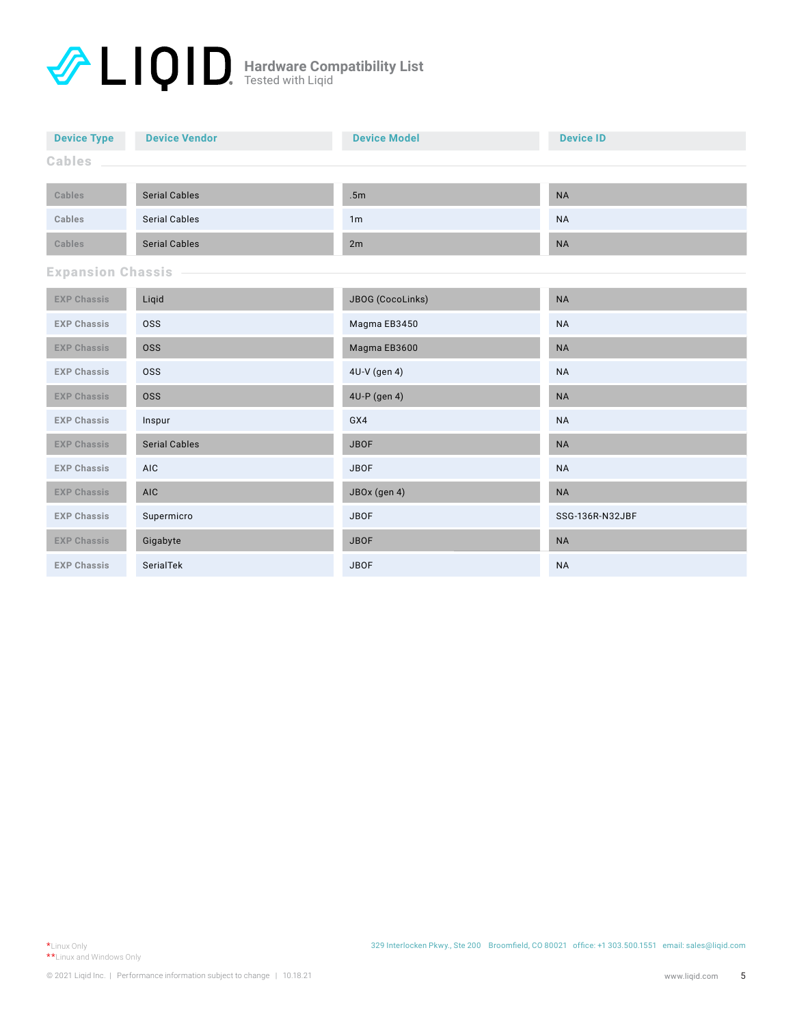| <b>Device Type</b>               | <b>Device Vendor</b> | <b>Device Model</b> | <b>Device ID</b> |  |  |  |
|----------------------------------|----------------------|---------------------|------------------|--|--|--|
| <b>Cables</b>                    |                      |                     |                  |  |  |  |
|                                  |                      |                     |                  |  |  |  |
| Cables                           | <b>Serial Cables</b> | .5m                 | <b>NA</b>        |  |  |  |
| Cables                           | <b>Serial Cables</b> | 1 <sub>m</sub>      | <b>NA</b>        |  |  |  |
| Cables                           | <b>Serial Cables</b> | 2m                  | <b>NA</b>        |  |  |  |
| <b>Expansion Chassis</b>         |                      |                     |                  |  |  |  |
| <b>EXP Chassis</b><br>Liqid      |                      | JBOG (CocoLinks)    | <b>NA</b>        |  |  |  |
| <b>EXP Chassis</b><br><b>OSS</b> |                      | Magma EB3450        | <b>NA</b>        |  |  |  |
| <b>EXP Chassis</b><br><b>OSS</b> |                      | Magma EB3600        | <b>NA</b>        |  |  |  |
| <b>EXP Chassis</b>               | <b>OSS</b>           | 4U-V (gen 4)        | <b>NA</b>        |  |  |  |
| <b>EXP Chassis</b>               | <b>OSS</b>           | 4U-P (gen 4)        | <b>NA</b>        |  |  |  |
| <b>EXP Chassis</b>               | Inspur               | GX4                 | <b>NA</b>        |  |  |  |
| <b>EXP Chassis</b>               | <b>Serial Cables</b> | <b>JBOF</b>         | <b>NA</b>        |  |  |  |
| <b>EXP Chassis</b>               | AIC                  | <b>JBOF</b>         | <b>NA</b>        |  |  |  |
| <b>EXP Chassis</b>               | <b>AIC</b>           | JBOx (gen 4)        | <b>NA</b>        |  |  |  |
| <b>EXP Chassis</b>               | Supermicro           | <b>JBOF</b>         | SSG-136R-N32JBF  |  |  |  |
| <b>EXP Chassis</b>               | Gigabyte             | <b>JBOF</b>         | <b>NA</b>        |  |  |  |
| SerialTek<br><b>EXP Chassis</b>  |                      | <b>JBOF</b>         | <b>NA</b>        |  |  |  |